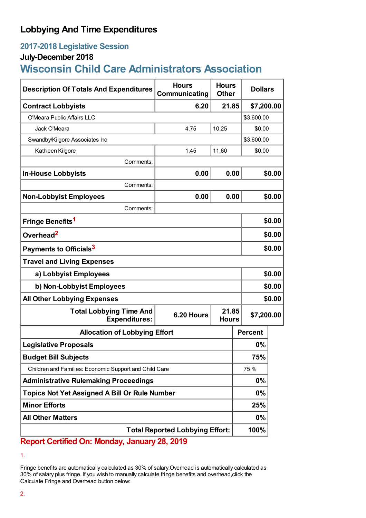## **Lobbying And Time Expenditures**

## **2017-2018 Legislative Session**

### **July-December 2018**

# **Wisconsin Child Care Administrators Association**

| <b>Description Of Totals And Expenditures</b>          | <b>Hours</b><br>Communicating | <b>Hours</b><br><b>Other</b> | <b>Dollars</b> |        |  |
|--------------------------------------------------------|-------------------------------|------------------------------|----------------|--------|--|
| <b>Contract Lobbyists</b>                              | 6.20                          | 21.85                        | \$7,200.00     |        |  |
| O'Meara Public Affairs LLC                             |                               |                              | \$3,600.00     |        |  |
| Jack O'Meara                                           | 4.75                          | 10.25                        | \$0.00         |        |  |
| Swandby/Kilgore Associates Inc                         |                               |                              | \$3,600.00     |        |  |
| Kathleen Kilgore                                       | 1.45                          | 11.60                        | \$0.00         |        |  |
| Comments:                                              |                               |                              |                |        |  |
| <b>In-House Lobbyists</b>                              | 0.00                          | 0.00                         |                | \$0.00 |  |
| Comments:                                              |                               |                              |                |        |  |
| <b>Non-Lobbyist Employees</b>                          | 0.00                          | 0.00                         |                | \$0.00 |  |
| Comments:                                              |                               |                              |                |        |  |
| Fringe Benefits <sup>1</sup>                           |                               |                              |                | \$0.00 |  |
| Overhead <sup>2</sup>                                  |                               |                              |                | \$0.00 |  |
| Payments to Officials <sup>3</sup>                     |                               |                              |                | \$0.00 |  |
| <b>Travel and Living Expenses</b>                      |                               |                              |                |        |  |
| a) Lobbyist Employees                                  |                               |                              |                | \$0.00 |  |
| b) Non-Lobbyist Employees                              |                               |                              |                | \$0.00 |  |
| <b>All Other Lobbying Expenses</b>                     |                               |                              |                | \$0.00 |  |
| <b>Total Lobbying Time And</b><br><b>Expenditures:</b> | 6.20 Hours                    | 21.85<br><b>Hours</b>        | \$7,200.00     |        |  |
| <b>Allocation of Lobbying Effort</b>                   |                               |                              | <b>Percent</b> |        |  |
| <b>Legislative Proposals</b>                           |                               |                              | 0%             |        |  |
| <b>Budget Bill Subjects</b>                            |                               |                              | 75%            |        |  |
| Children and Families: Economic Support and Child Care |                               |                              | 75 %           |        |  |
| <b>Administrative Rulemaking Proceedings</b>           |                               |                              | $0\%$          |        |  |
| <b>Topics Not Yet Assigned A Bill Or Rule Number</b>   |                               |                              | $0\%$          |        |  |
| <b>Minor Efforts</b>                                   |                               |                              | 25%            |        |  |
| <b>All Other Matters</b>                               |                               |                              | $0\%$          |        |  |
| <b>Total Reported Lobbying Effort:</b>                 |                               |                              | 100%           |        |  |

## **Report Certified On: Monday, January 28, 2019**

Fringe benefits are automatically calculated as 30% of salary.Overhead is automatically calculated as 30% of salary plus fringe. If you wish to manually calculate fringe benefits and overhead,click the Calculate Fringe and Overhead button below:

<sup>1.</sup>